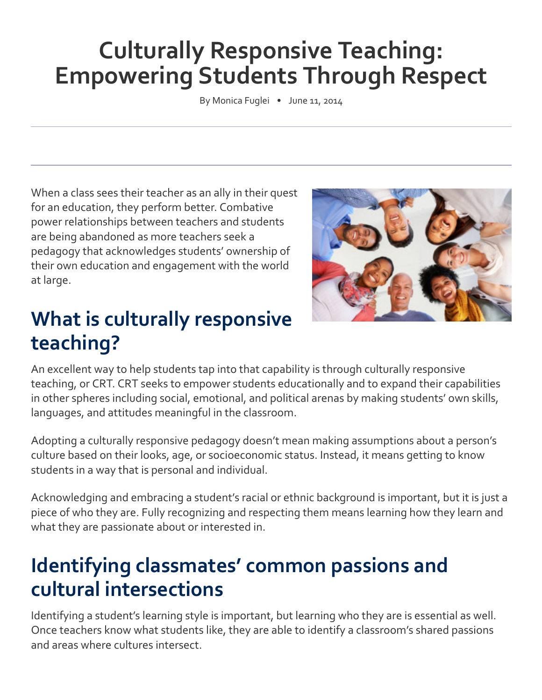# **Culturally Responsive Teaching: Empowering Students Through Respect**

By Monica Fuglei • June 11, 2014

When a class sees their teacher as an ally in their quest for an education, they perform better. Combative power relationships between teachers and students are being abandoned as more teachers seek a pedagogy that acknowledges students' ownership of their own education and engagement with the world at large.

### **What is culturally responsive teaching?**



An excellent way to help students tap into that capability is through culturally responsive teaching, or CRT. CRT seeks to empower students educationally and to expand their capabilities in other spheres including social, emotional, and political arenas by making students' own skills, languages, and attitudes meaningful in the classroom.

Adopting a culturally responsive pedagogy doesn't mean making assumptions about a person's culture based on their looks, age, or socioeconomic status. Instead, it means getting to know students in a way that is personal and individual.

Acknowledging and embracing a student's racial or ethnic background is important, but it is just a piece of who they are. Fully recognizing and respecting them means learning how they learn and what they are passionate about or interested in.

#### **Identifying classmates' common passions and cultural intersections**

Identifying a student's learning style is important, but learning who they are is essential as well. Once teachers know what students like, they are able to identify a classroom's shared passions and areas where cultures intersect.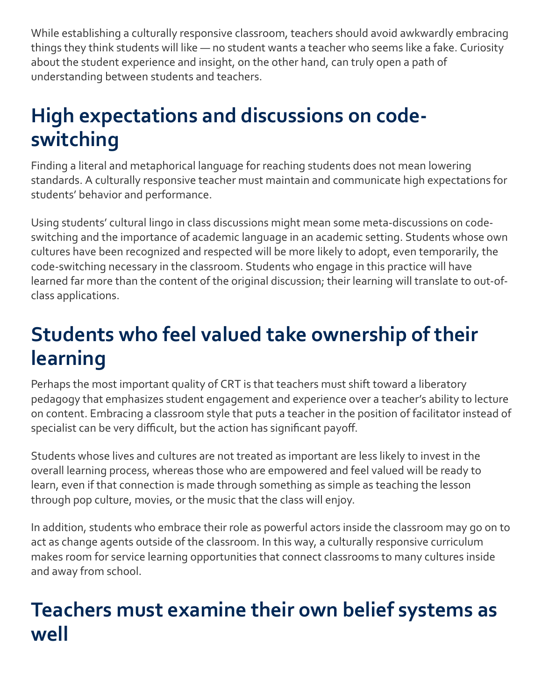While establishing a culturally responsive classroom, teachers should avoid awkwardly embracing things they think students will like — no student wants a teacher who seems like a fake. Curiosity about the student experience and insight, on the other hand, can truly open a path of understanding between students and teachers.

# **High expectations and discussions on codeswitching**

Finding a literal and metaphorical language for reaching students does not mean lowering standards. A culturally responsive teacher must maintain and communicate high expectations for students' behavior and performance.

Using students' cultural lingo in class discussions might mean some meta-discussions on codeswitching and the importance of academic language in an academic setting. Students whose own cultures have been recognized and respected will be more likely to adopt, even temporarily, the code-switching necessary in the classroom. Students who engage in this practice will have learned far more than the content of the original discussion; their learning will translate to out-ofclass applications.

# **Students who feel valued take ownership of their learning**

Perhaps the most important quality of CRT is that teachers must shift toward a liberatory pedagogy that emphasizes student engagement and experience over a teacher's ability to lecture on content. Embracing a classroom style that puts a teacher in the position of facilitator instead of specialist can be very difficult, but the action has significant payoff.

Students whose lives and cultures are not treated as important are less likely to invest in the overall learning process, whereas those who are empowered and feel valued will be ready to learn, even if that connection is made through something as simple as teaching the lesson through pop culture, movies, or the music that the class will enjoy.

In addition, students who embrace their role as powerful actors inside the classroom may go on to act as change agents outside of the classroom. In this way, a culturally responsive curriculum makes room for service learning opportunities that connect classrooms to many cultures inside and away from school.

### **Teachers must examine their own belief systems as well**